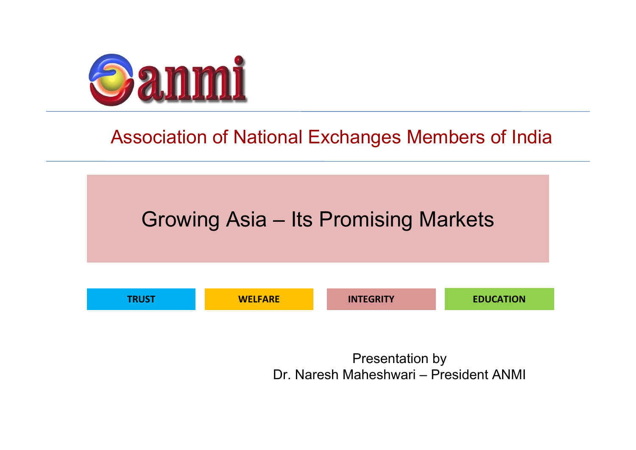

### Association of National Exchanges Members of India



Presentation by Dr. Naresh Maheshwari – President ANMI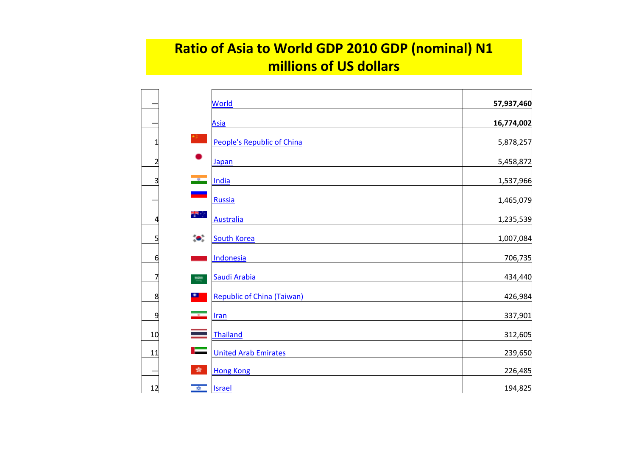#### **Ratio of Asia to World GDP 2010 GDP (nominal) N1 millions of US dollars**

|                |                          | <b>World</b>                      | 57,937,460 |
|----------------|--------------------------|-----------------------------------|------------|
|                |                          | <b>Asia</b>                       | 16,774,002 |
| 1              |                          | People's Republic of China        | 5,878,257  |
| $\overline{2}$ |                          | Japan                             | 5,458,872  |
| 3              | $\overline{\phantom{a}}$ | India                             | 1,537,966  |
|                |                          | Russia                            | 1,465,079  |
| 4              | <del>행</del>             | <b>Australia</b>                  | 1,235,539  |
| 5              | $\bullet.$               | <b>South Korea</b>                | 1,007,084  |
| 6              |                          | Indonesia                         | 706,735    |
| 7              | $\frac{1000}{1000}$      | Saudi Arabia                      | 434,440    |
| 8              | $\mathbf{r}$             | <b>Republic of China (Taiwan)</b> | 426,984    |
| 9              | ÷                        | <b>Iran</b>                       | 337,901    |
| 10             |                          | Thailand                          | 312,605    |
| 11             |                          | <b>United Arab Emirates</b>       | 239,650    |
|                | 蠹                        | <b>Hong Kong</b>                  | 226,485    |
| 12             | $\frac{1}{2}$            | <b>Israel</b>                     | 194,825    |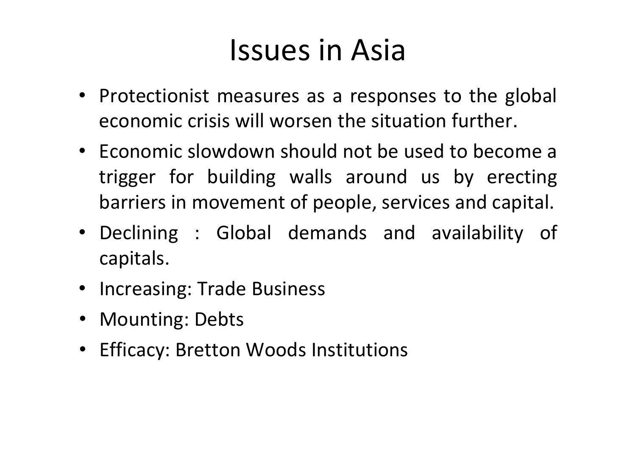# Issues in Asia

- Protectionist measures as a responses to the global economic crisis will worsen the situation further.
- Economic slowdown should not be used to become <sup>a</sup> trigger for building walls around us by erecting barriers in movement of people, services and capital.
- Declining : Global demands and availability of capitals.
- Increasing: Trade Business
- Mounting: Debts
- Efficacy: Bretton Woods Institutions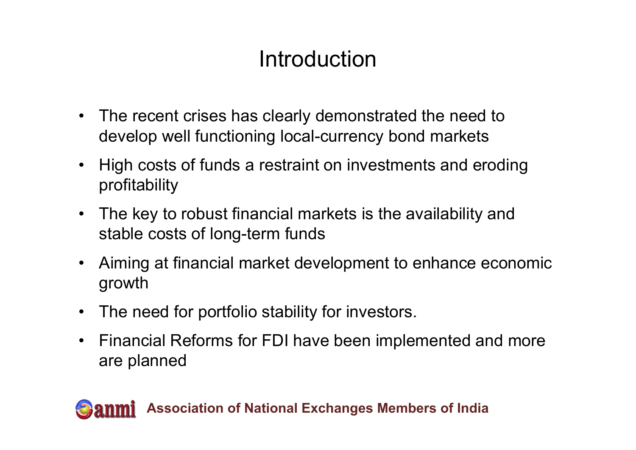### Introduction

- The recent crises has clearly demonstrated the need to develop well functioning local-currency bond markets
- High costs of funds a restraint on investments and eroding profitability
- The key to robust financial markets is the availability and stable costs of long-term funds
- Aiming at financial market development to enhance economic growth
- $\bullet$ The need for portfolio stability for investors.
- $\bullet$  Financial Reforms for FDI have been implemented and more are planned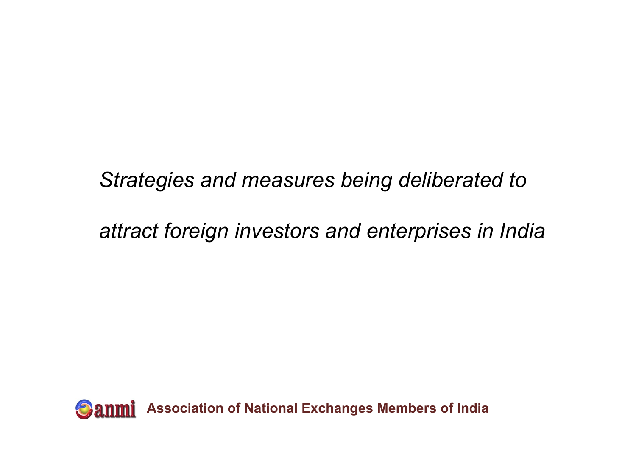### *Strategies and measures being deliberated to*

### *attract foreign investors and enterprises in India*

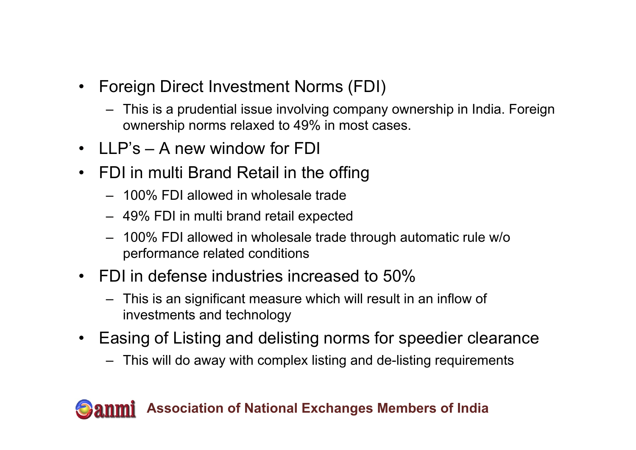- $\bullet$  Foreign Direct Investment Norms (FDI)
	- This is a prudential issue involving company ownership in India. Foreign ownership norms relaxed to 49% in most cases.
- LLP's A new window for FDI
- FDI in multi Brand Retail in the offing
	- 100% FDI allowed in wholesale trade
	- 49% FDI in multi brand retail expected
	- 100% FDI allowed in wholesale trade through automatic rule w/o performance related conditions
- FDI in defense industries increased to 50%
	- This is an significant measure which will result in an inflow of investments and technology
- $\bullet$  Easing of Listing and delisting norms for speedier clearance
	- This will do away with complex listing and de-listing requirements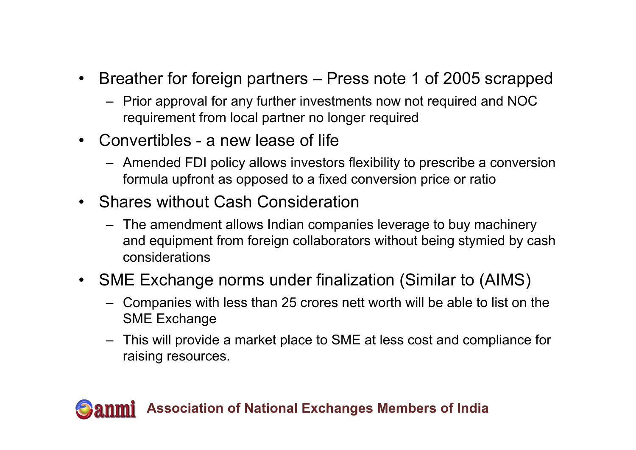- Breather for foreign partners Press note 1 of 2005 scrapped
	- Prior approval for any further investments now not required and NOC requirement from local partner no longer required
- Convertibles a new lease of life
	- Amended FDI policy allows investors flexibility to prescribe a conversion formula upfront as opposed to a fixed conversion price or ratio
- Shares without Cash Consideration
	- The amendment allows Indian companies leverage to buy machinery and equipment from foreign collaborators without being stymied by cash considerations

### • SME Exchange norms under finalization (Similar to (AIMS)

- Companies with less than 25 crores nett worth will be able to list on the SME Exchange
- This will provide a market place to SME at less cost and compliance for raising resources.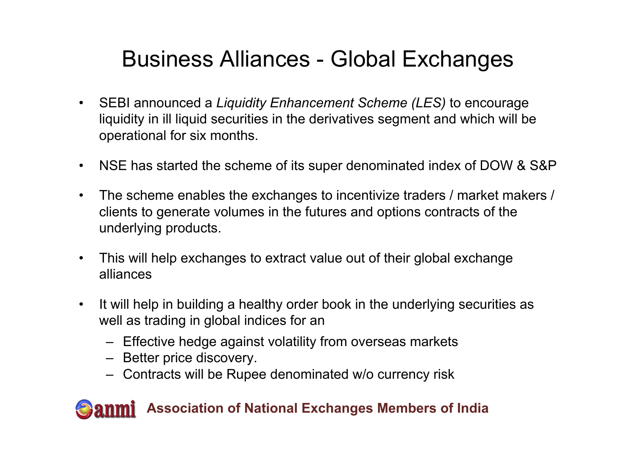### Business Alliances - Global Exchanges

- $\bullet$  SEBI announced a *Liquidity Enhancement Scheme (LES)* to encourage liquidity in ill liquid securities in the derivatives segment and which will be operational for six months.
- $\bullet$ NSE has started the scheme of its super denominated index of DOW & S&P
- $\bullet$  The scheme enables the exchanges to incentivize traders / market makers / clients to generate volumes in the futures and options contracts of the underlying products.
- $\bullet$  This will help exchanges to extract value out of their global exchange alliances
- $\bullet$  It will help in building a healthy order book in the underlying securities as well as trading in global indices for an
	- Effective hedge against volatility from overseas markets
	- Better price discovery.
	- Contracts will be Rupee denominated w/o currency risk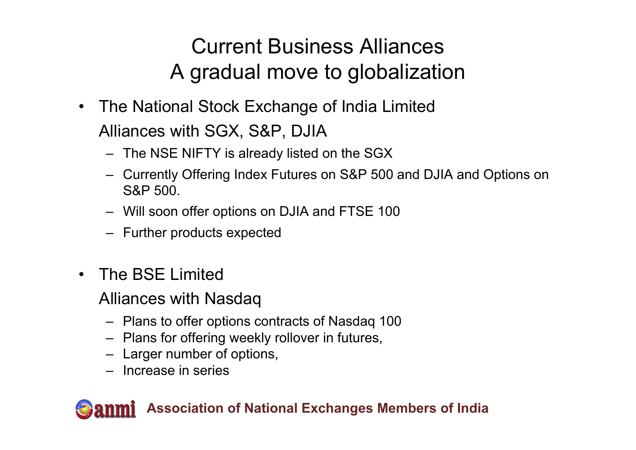### Current Business Alliances A gradual move to globalization

- $\bullet$  The National Stock Exchange of India Limited Alliances with SGX, S&P, DJIA
	- The NSE NIFTY is already listed on the SGX
	- Currently Offering Index Futures on S&P 500 and DJIA and Options on S&P 500.
	- Will soon offer options on DJIA and FTSE 100
	- Further products expected
- $\bullet$  The BSE Limited
	- Alliances with Nasdaq
		- Plans to offer options contracts of Nasdaq 100
		- Plans for offering weekly rollover in futures,
		- Larger number of options,
		- Increase in series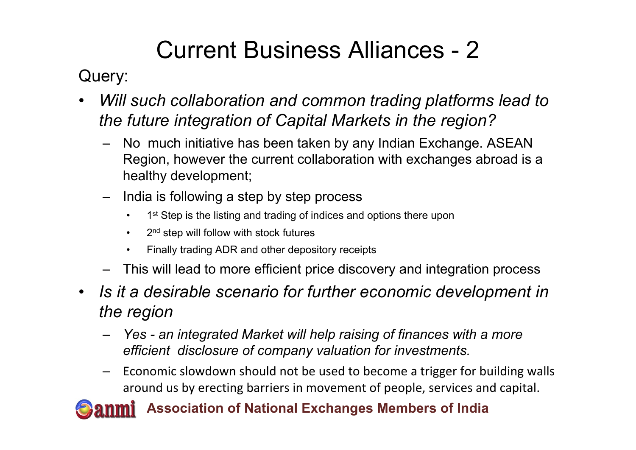## Current Business Alliances - 2

Query:

- • *Will such collaboration and common trading platforms lead to the future integration of Capital Markets in the region?*
	- – No much initiative has been taken by any Indian Exchange. ASEAN Region, however the current collaboration with exchanges abroad is a healthy development;
	- – India is following a step by step process
		- •1<sup>st</sup> Step is the listing and trading of indices and options there upon
		- $\bullet$ 2<sup>nd</sup> step will follow with stock futures
		- •Finally trading ADR and other depository receipts
	- This will lead to more efficient price discovery and integration process
- *Is it a desirable scenario for further economic development in the region*
	- *Yes - an integrated Market will help raising of finances with a more efficient disclosure of company valuation for investments.*
	- – $-$  Economic slowdown should not be used to become a trigger for building walls around us by erecting barriers in movement of people, services and capital.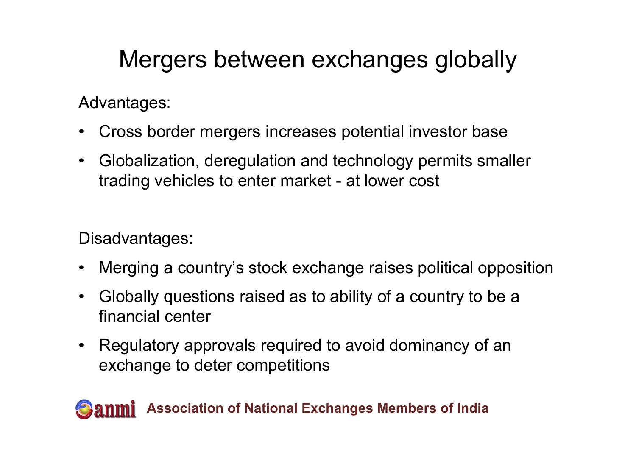# Mergers between exchanges globally

Advantages:

- •Cross border mergers increases potential investor base
- $\bullet$  Globalization, deregulation and technology permits smaller trading vehicles to enter market - at lower cost

Disadvantages:

- $\bullet$ Merging a country's stock exchange raises political opposition
- $\bullet$  Globally questions raised as to ability of a country to be a financial center
- Regulatory approvals required to avoid dominancy of an exchange to deter competitions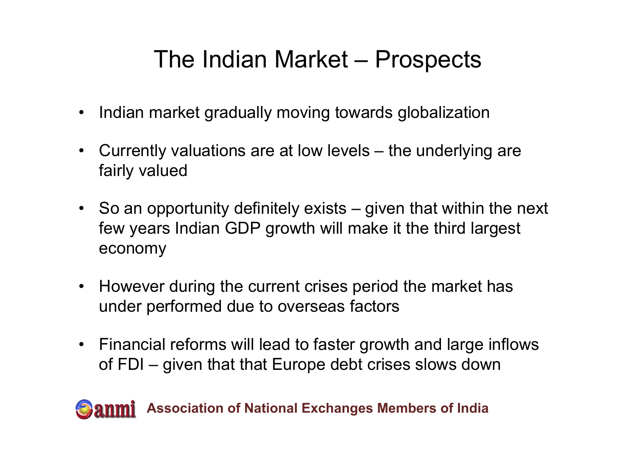# The Indian Market – Prospects

- $\bullet$ Indian market gradually moving towards globalization
- Currently valuations are at low levels the underlying are fairly valued
- So an opportunity definitely exists given that within the next few years Indian GDP growth will make it the third largest economy
- $\bullet$  However during the current crises period the market has under performed due to overseas factors
- Financial reforms will lead to faster growth and large inflows of FDI – given that that Europe debt crises slows down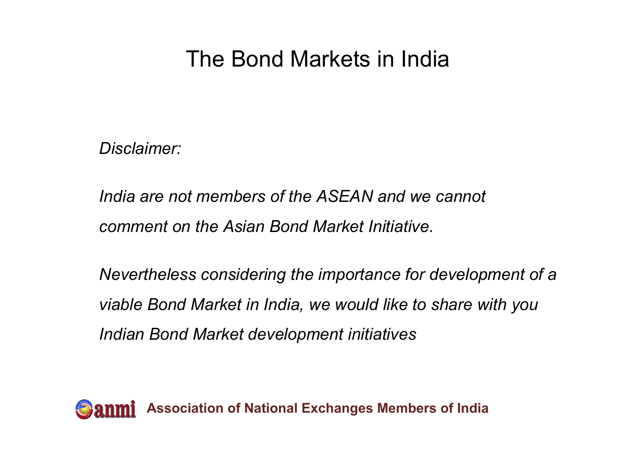### The Bond Markets in India

*Disclaimer:* 

*<u>India are not members of the ASEAN and we cannot</u> comment on the Asian Bond Market Initiative.* 

*Nevertheless considering the importance for development of a viable Bond Market in India, we would like to share with you Indian Bond Market development initiatives*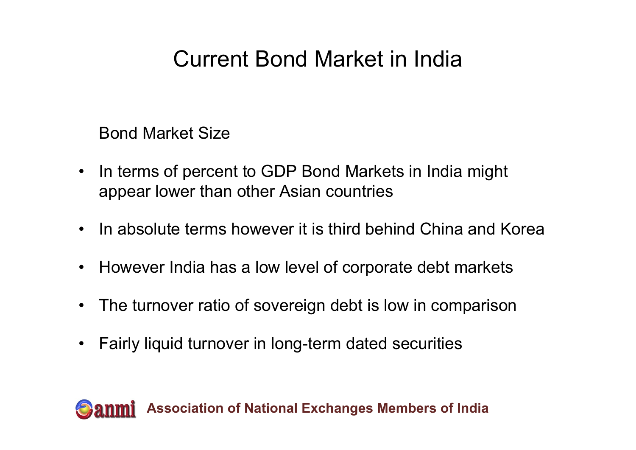### Current Bond Market in India

Bond Market Size

- • In terms of percent to GDP Bond Markets in India might appear lower than other Asian countries
- In absolute terms however it is third behind China and Korea
- $\bullet$ However India has a low level of corporate debt markets
- •The turnover ratio of sovereign debt is low in comparison
- $\bullet$ Fairly liquid turnover in long-term dated securities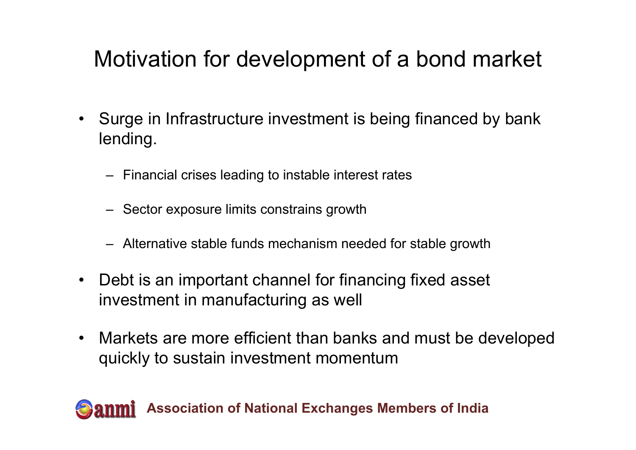### Motivation for development of a bond market

- $\bullet$  Surge in Infrastructure investment is being financed by bank lending.
	- Financial crises leading to instable interest rates
	- Sector exposure limits constrains growth
	- Alternative stable funds mechanism needed for stable growth
- • Debt is an important channel for financing fixed asset investment in manufacturing as well
- $\bullet$  Markets are more efficient than banks and must be developed quickly to sustain investment momentum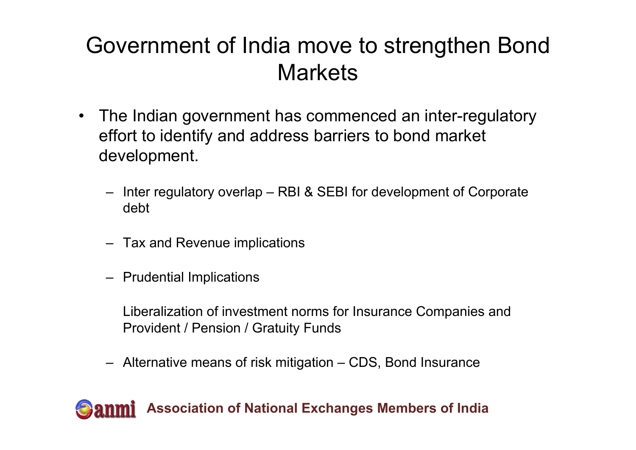### Government of India move to strengthen Bond **Markets**

- $\bullet$  The Indian government has commenced an inter-regulatory effort to identify and address barriers to bond market development.
	- Inter regulatory overlap RBI & SEBI for development of Corporate debt
	- Tax and Revenue implications
	- Prudential Implications

Liberalization of investment norms for Insurance Companies and Provident / Pension / Gratuity Funds

– Alternative means of risk mitigation – CDS, Bond Insurance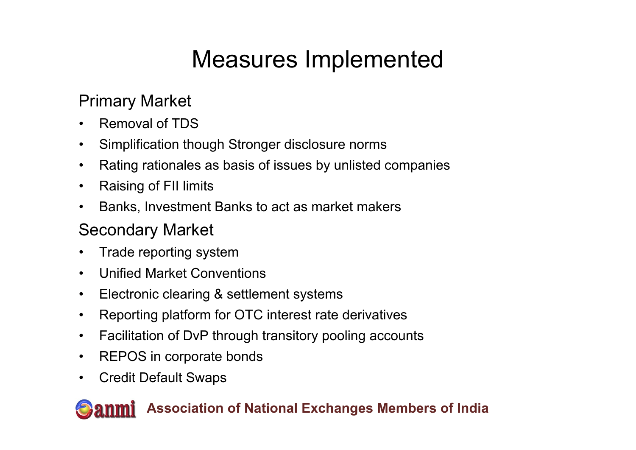# Measures Implemented

#### Primary Market

- •Removal of TDS
- $\bullet$ Simplification though Stronger disclosure norms
- $\bullet$ Rating rationales as basis of issues by unlisted companies
- $\bullet$ Raising of FII limits
- $\bullet$ Banks, Investment Banks to act as market makers

### Secondary Market

- •Trade reporting system
- $\bullet$ Unified Market Conventions
- $\bullet$ Electronic clearing & settlement systems
- $\bullet$ Reporting platform for OTC interest rate derivatives
- $\bullet$ Facilitation of DvP through transitory pooling accounts
- $\bullet$ REPOS in corporate bonds
- $\bullet$ Credit Default Swaps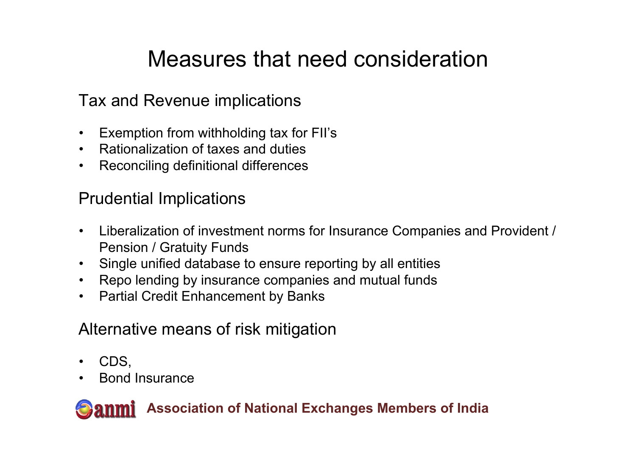### Measures that need consideration

#### Tax and Revenue implications

- $\bullet$ Exemption from withholding tax for FII's
- $\bullet$ Rationalization of taxes and duties
- $\bullet$ Reconciling definitional differences

#### Prudential Implications

- $\bullet$  Liberalization of investment norms for Insurance Companies and Provident / Pension / Gratuity Funds
- $\bullet$ Single unified database to ensure reporting by all entities
- $\bullet$ Repo lending by insurance companies and mutual funds
- $\bullet$ Partial Credit Enhancement by Banks

#### Alternative means of risk mitigation

- $\bullet$ CDS,
- •Bond Insurance